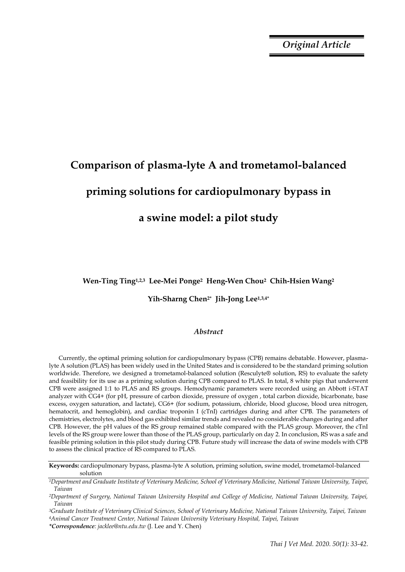*Original Article*

# **Comparison of plasma-lyte A and trometamol-balanced priming solutions for cardiopulmonary bypass in a swine model: a pilot study**

**Wen-Ting Ting1,2,3 Lee-Mei Ponge2 Heng-Wen Chou2 Chih-Hsien Wang<sup>2</sup>** 

## **Yih-Sharng Chen2\* Jih-Jong Lee1,3,4\***

# *Abstract*

Currently, the optimal priming solution for cardiopulmonary bypass (CPB) remains debatable. However, plasmalyte A solution (PLAS) has been widely used in the United States and is considered to be the standard priming solution worldwide. Therefore, we designed a trometamol-balanced solution (Resculyte® solution, RS) to evaluate the safety and feasibility for its use as a priming solution during CPB compared to PLAS. In total, 8 white pigs that underwent CPB were assigned 1:1 to PLAS and RS groups. Hemodynamic parameters were recorded using an Abbott i-STAT analyzer with CG4+ (for pH, pressure of carbon dioxide, pressure of oxygen , total carbon dioxide, bicarbonate, base excess, oxygen saturation, and lactate), CG6+ (for sodium, potassium, chloride, blood glucose, blood urea nitrogen, hematocrit, and hemoglobin), and cardiac troponin I (cTnI) cartridges during and after CPB. The parameters of chemistries, electrolytes, and blood gas exhibited similar trends and revealed no considerable changes during and after CPB. However, the pH values of the RS group remained stable compared with the PLAS group. Moreover, the cTnI levels of the RS group were lower than those of the PLAS group, particularly on day 2. In conclusion, RS was a safe and feasible priming solution in this pilot study during CPB. Future study will increase the data of swine models with CPB to assess the clinical practice of RS compared to PLAS.

**Keywords:** cardiopulmonary bypass, plasma-lyte A solution, priming solution, swine model, trometamol-balanced solution

*<sup>1</sup>Department and Graduate Institute of Veterinary Medicine, School of Veterinary Medicine, National Taiwan University, Taipei, Taiwan*

*<sup>2</sup>Department of Surgery, National Taiwan University Hospital and College of Medicine, National Taiwan University, Taipei, Taiwan*

*<sup>3</sup>Graduate Institute of Veterinary Clinical Sciences, School of Veterinary Medicine, National Taiwan University, Taipei, Taiwan <sup>4</sup>Animal Cancer Treatment Center, National Taiwan University Veterinary Hospital, Taipei, Taiwan*

*<sup>\*</sup>Correspondence: jacklee@ntu.edu.tw* (J. Lee and Y. Chen)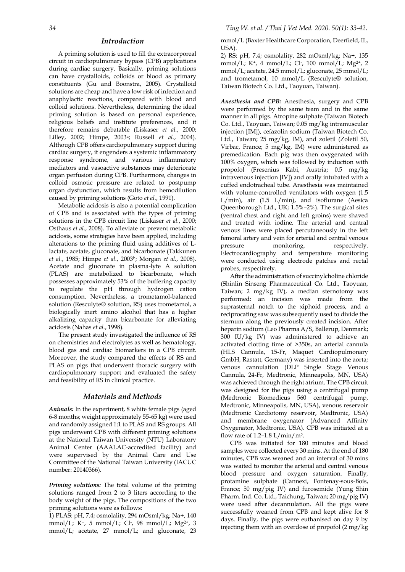#### *Introduction*

A priming solution is used to fill the extracorporeal circuit in cardiopulmonary bypass (CPB) applications during cardiac surgery. Basically, priming solutions can have crystalloids, colloids or blood as primary constituents (Gu and Boonstra, 2005). Crystalloid solutions are cheap and have a low risk of infection and anaphylactic reactions, compared with blood and colloid solutions. Nevertheless, determining the ideal priming solution is based on personal experience, religious beliefs and institute preferences, and it therefore remains debatable (Liskaser *et al.*, 2000; Lilley, 2002; Himpe, 2003a; Russell *et al.*, 2004). Although CPB offers cardiopulmonary support during cardiac surgery, it engenders a systemic inflammatory response syndrome, and various inflammatory mediators and vasoactive substances may deteriorate organ perfusion during CPB. Furthermore, changes in colloid osmotic pressure are related to postpump organ dysfunction, which results from hemodilution caused by priming solutions (Goto *et al.*, 1991).

Metabolic acidosis is also a potential complication of CPB and is associated with the types of priming solutions in the CPB circuit line (Liskaser *et al.*, 2000; Osthaus *et al.*, 2008). To alleviate or prevent metabolic acidosis, some strategies have been applied, including alterations to the priming fluid using additives of Llactate, acetate, gluconate, and bicarbonate (Takkunen *et al.*, 1985; Himpe *et al.*, 2003b; Morgan *et al.*, 2008). Acetate and gluconate in plasma-lyte A solution (PLAS) are metabolized to bicarbonate, which possesses approximately 53% of the buffering capacity to regulate the pH through hydrogen cation consumption. Nevertheless, a trometamol-balanced solution (Resculyte® solution, RS) uses trometamol, a biologically inert amino alcohol that has a higher alkalizing capacity than bicarbonate for alleviating acidosis (Nahas *et al.*, 1998).

The present study investigated the influence of RS on chemistries and electrolytes as well as hematology, blood gas and cardiac biomarkers in a CPB circuit. Moreover, the study compared the effects of RS and PLAS on pigs that underwent thoracic surgery with cardiopulmonary support and evaluated the safety and feasibility of RS in clinical practice.

### *Materials and Methods*

*Animals:* In the experiment, 8 white female pigs (aged 6-8 months; weight approximately 55-65 kg) were used and randomly assigned 1:1 to PLAS and RS groups. All pigs underwent CPB with different priming solutions at the National Taiwan University (NTU) Laboratory Animal Center (AAALAC-accredited facility) and were supervised by the Animal Care and Use Committee of the National Taiwan University (IACUC number: 20140366).

*Priming solutions:* The total volume of the priming solutions ranged from 2 to 3 liters according to the body weight of the pigs. The compositions of the two priming solutions were as follows:

1) PLAS: pH, 7.4; osmolality, 294 mOsml/kg; Na+, 140 mmol/L; K<sup>+</sup>, 5 mmol/L; Cl-, 98 mmol/L; Mg<sup>2+</sup>, 3 mmol/L; acetate, 27 mmol/L; and gluconate, 23

mmol/L (Baxter Healthcare Corporation, Deerfield, IL, USA).

2) RS: pH, 7.4; osmolality, 282 mOsml/kg; Na+, 135 mmol/L; K+, 4 mmol/L; Cl- , 100 mmol/L; Mg2+, 2 mmol/L; acetate, 24.5 mmol/L; gluconate, 25 mmol/L; and trometamol, 10 mmol/L (Resculyte® solution, Taiwan Biotech Co. Ltd., Taoyuan, Taiwan).

*Anesthesia and CPB:* Anesthesia, surgery and CPB were performed by the same team and in the same manner in all pigs. Atropine sulphate (Taiwan Biotech Co. Ltd., Taoyuan, Taiwan; 0.05 mg/kg intramuscular injection [IM]), cefazolin sodium (Taiwan Biotech Co. Ltd., Taiwan; 25 mg/kg, IM), and zoletil (Zoletil 50, Virbac, France; 5 mg/kg, IM) were administered as premedication. Each pig was then oxygenated with 100% oxygen, which was followed by induction with propofol (Fresenius Kabi, Austria; 0.5 mg/kg intravenous injection [IV]) and orally intubated with a cuffed endotracheal tube. Anesthesia was maintained with volume-controlled ventilators with oxygen (1.5 L/min), air (1.5 L/min), and isoflurane (Aesica Queenborough Ltd., UK; 1.5%–2%). The surgical sites (ventral chest and right and left groins) were shaved and treated with iodine. The arterial and central venous lines were placed percutaneously in the left femoral artery and vein for arterial and central venous pressure monitoring, respectively. Electrocardiography and temperature monitoring were conducted using electrode patches and rectal probes, respectively.

After the administration of succinylcholine chloride (Shinlin Sinseng Pharmaceutical Co. Ltd., Taoyuan, Taiwan; 2 mg/kg IV), a median sternotomy was performed: an incision was made from the suprasternal notch to the xiphoid process, and a reciprocating saw was subsequently used to divide the sternum along the previously created incision. After heparin sodium (Leo Pharma A/S, Ballerup, Denmark; 300 IU/kg IV) was administered to achieve an activated clotting time of >350s, an arterial cannula (HLS Cannula, 15-Fr, Maquet Cardiopulmonary GmbH, Rastatt, Germany) was inserted into the aorta; venous cannulation (DLP Single Stage Venous Cannula, 24-Fr, Medtronic, Minneapolis, MN, USA) was achieved through the right atrium. The CPB circuit was designed for the pigs using a centrifugal pump (Medtronic Biomedicus 560 centrifugal pump, Medtronic, Minneapolis, MN, USA), venous reservoir (Medtronic Cardiotomy reservoir, Medtronic, USA) and membrane oxygenator (Advanced Affinity Oxygenator, Medtronic, USA). CPB was initiated at a flow rate of  $1.2 - 1.8$  L/min/m<sup>2</sup>.

CPB was initiated for 180 minutes and blood samples were collected every 30 mins. At the end of 180 minutes, CPB was weaned and an interval of 30 mins was waited to monitor the arterial and central venous blood pressure and oxygen saturation. Finally, protamine sulphate (Cannexi, Fontenay-sous-Bois, France; 50 mg/pig IV) and furosemide (Yung Shin Pharm. Ind. Co. Ltd., Taichung, Taiwan; 20 mg/pig IV) were used after decannulation. All the pigs were successfully weaned from CPB and kept alive for 8 days. Finally, the pigs were euthanised on day 9 by injecting them with an overdose of propofol (2 mg/kg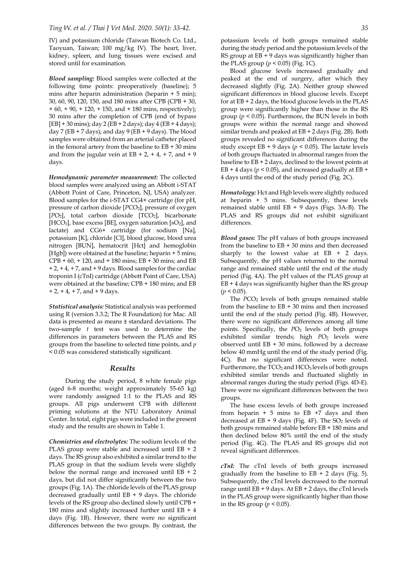IV) and potassium chloride (Taiwan Biotech Co. Ltd., Taoyuan, Taiwan; 100 mg/kg IV). The heart, liver, kidney, spleen, and lung tissues were excised and stored until for examination.

*Blood sampling:* Blood samples were collected at the following time points: preoperatively (baseline); 5 mins after heparin administration (heparin + 5 min); 30, 60, 90, 120, 150, and 180 mins after CPB (CPB + 30,  $+ 60$ ,  $+ 90$ ,  $+ 120$ ,  $+ 150$ , and  $+ 180$  mins, respectively); 30 mins after the completion of CPB (end of bypass  $[EB] + 30$  mins); day 2 ( $EB + 2$  days); day 4 ( $EB + 4$  days); day 7 (EB + 7 days); and day 9 (EB + 9 days). The blood samples were obtained from an arterial catheter placed in the femoral artery from the baseline to  $EB + 30$  mins and from the jugular vein at  $EB + 2$ ,  $+ 4$ ,  $+ 7$ , and  $+ 9$ days.

*Hemodynamic parameter measurement:* The collected blood samples were analyzed using an Abbott i-STAT (Abbott Point of Care, Princeton, NJ, USA) analyzer. Blood samples for the i-STAT CG4+ cartridge (for pH, pressure of carbon dioxide [*PCO*<sub>2</sub>], pressure of oxygen [*PO*<sub>2</sub>], total carbon dioxide [TCO<sub>2</sub>], bicarbonate [HCO<sub>3</sub>], base excess [BE], oxygen saturation [sO<sub>2</sub>], and lactate) and CG6+ cartridge (for sodium [Na], potassium [K], chloride [Cl], blood glucose, blood urea nitrogen [BUN], hematocrit [Hct] and hemoglobin [Hgb]) were obtained at the baseline; heparin + 5 mins;  $CPB + 60$ , + 120, and + 180 mins; EB + 30 mins; and EB  $+ 2$ ,  $+ 4$ ,  $+ 7$ , and  $+ 9$  days. Blood samples for the cardiac troponin I (cTnI) cartridge (Abbott Point of Care, USA) were obtained at the baseline; CPB + 180 mins; and EB  $+ 2$ ,  $+ 4$ ,  $+ 7$ , and  $+ 9$  days.

*Statistical analysis:* Statistical analysis was performed using R (version 3.3.2; The R Foundation) for Mac. All data is presented as means ± standard deviations. The two-sample *t* test was used to determine the differences in parameters between the PLAS and RS groups from the baseline to selected time points, and *p* < 0.05 was considered statistically significant.

### *Results*

During the study period, 8 white female pigs (aged 6-8 months; weight approximately 55-65 kg) were randomly assigned 1:1 to the PLAS and RS groups. All pigs underwent CPB with different priming solutions at the NTU Laboratory Animal Center. In total, eight pigs were included in the present study and the results are shown in Table 1.

*Chemistries and electrolytes:* The sodium levels of the PLAS group were stable and increased until EB + 2 days. The RS group also exhibited a similar trend to the PLAS group in that the sodium levels were slightly below the normal range and increased until  $EB + 2$ days, but did not differ significantly between the two groups (Fig. 1A). The chloride levels of the PLAS group decreased gradually until  $EB + 9$  days. The chloride levels of the RS group also declined slowly until CPB + 180 mins and slightly increased further until EB + 4 days (Fig. 1B). However, there were no significant differences between the two groups. By contrast, the potassium levels of both groups remained stable during the study period and the potassium levels of the RS group at  $EB + 9$  days was significantly higher than the PLAS group  $(p < 0.05)$  (Fig. 1C).

Blood glucose levels increased gradually and peaked at the end of surgery, after which they decreased slightly (Fig. 2A). Neither group showed significant differences in blood glucose levels. Except for at EB + 2 days, the blood glucose levels in the PLAS group were significantly higher than those in the RS group (*p* < 0.05). Furthermore, the BUN levels in both groups were within the normal range and showed similar trends and peaked at EB + 2 days (Fig. 2B). Both groups revealed no significant differences during the study except  $EB + 9$  days ( $p < 0.05$ ). The lactate levels of both groups fluctuated in abnormal ranges from the baseline to EB + 2 days, declined to the lowest points at  $EB + 4$  days ( $p \le 0.05$ ), and increased gradually at  $EB +$ 4 days until the end of the study period (Fig. 2C).

*Hematology:* Hct and Hgb levels were slightly reduced at heparin + 5 mins. Subsequently, these levels remained stable until  $EB + 9$  days (Figs. 3A-B). The PLAS and RS groups did not exhibit significant differences.

*Blood gases:* The pH values of both groups increased from the baseline to  $EB + 30$  mins and then decreased sharply to the lowest value at  $EB + 2$  days. Subsequently, the pH values returned to the normal range and remained stable until the end of the study period (Fig. 4A). The pH values of the PLAS group at  $EB + 4$  days was significantly higher than the RS group  $(p < 0.05)$ .

The *PCO*<sub>2</sub> levels of both groups remained stable from the baseline to EB + 30 mins and then increased until the end of the study period (Fig. 4B). However, there were no significant differences among all time points. Specifically, the PO<sub>2</sub> levels of both groups exhibited similar trends; high *PO*<sub>2</sub> levels were observed until EB + 30 mins, followed by a decrease below 40 mmHg until the end of the study period (Fig. 4C). But no significant differences were noted. Furthermore, the  $TCO<sub>2</sub>$  and  $HCO<sub>3</sub>$  levels of both groups exhibited similar trends and fluctuated slightly in abnormal ranges during the study period (Figs. 4D-E). There were no significant differences between the two groups.

The base excess levels of both groups increased from heparin  $+ 5$  mins to EB  $+7$  days and then decreased at  $EB + 9$  days (Fig. 4F). The  $SO<sub>2</sub>$  levels of both groups remained stable before EB + 180 mins and then declined below 80% until the end of the study period (Fig. 4G). The PLAS and RS groups did not reveal significant differences.

*cTnI:* The cTnI levels of both groups increased gradually from the baseline to  $EB + 2$  days (Fig. 5). Subsequently, the cTnI levels decreased to the normal range until  $EB + 9$  days. At  $EB + 2$  days, the cTnI levels in the PLAS group were significantly higher than those in the RS group ( $p < 0.05$ ).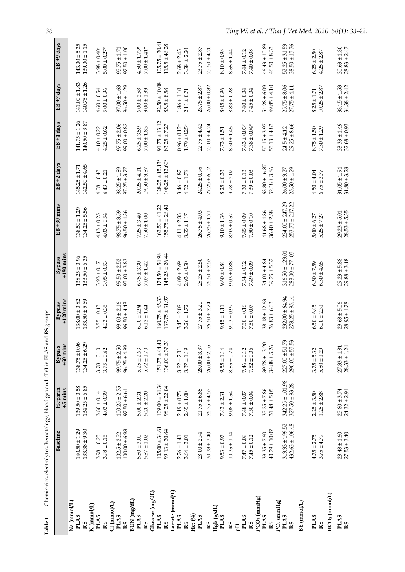|                                                     | Baseline                                   | Heparin<br>$+5$ mins                      | $+60$ mins<br><b>Bypass</b>              | $+120$ mins<br>Bypass                    | $+180$ mins<br>Bypass                     | EB +30 mins                              | EB +2 days                                 | $EB + 4 \text{ days}$                  | $EB + 7 \text{ days}$                  | EB +9 days                              |
|-----------------------------------------------------|--------------------------------------------|-------------------------------------------|------------------------------------------|------------------------------------------|-------------------------------------------|------------------------------------------|--------------------------------------------|----------------------------------------|----------------------------------------|-----------------------------------------|
| Na (mmol/L)<br><b>PLAS</b><br>RS                    | $140.50 \pm 1.29$<br>$133.38 \pm 9.30$     | $139.50 \pm 0.58$ $134.25 \pm 6.85$       | $138.75 \pm 0.96$<br>$134.25 \pm 6.29$   | $133.50 \pm 5.69$<br>$138.00 \pm 0.82$   | $138.25 \pm 0.96$<br>$133.50 \pm 6.35$    | $134.25 \pm 5.56$<br>$138.50 \pm 1.29$   | $142.50 \pm 4.65$<br>$145.25 \pm 1.71$     | $141.75 \pm 1.26$<br>$140.50 \pm 3.87$ | $140.75 \pm 1.26$<br>$141.00 \pm 1.83$ | $139.00 \pm 1.15$<br>$143.00 \pm 5.35$  |
| K (mmol/L)<br><b>PLAS</b><br>RS                     | $3.98 \pm 0.25$<br>$3.98 \pm 0.15$         | $3.80 \pm 0.14$<br>$4.03 \pm 0.39$        | $3.78 \pm 0.10$<br>$3.75 \pm 0.42$       | $3.85 \pm 0.13$<br>$4.03 \pm 0.35$       | $3.93 \pm 0.17$<br>$3.95 \pm 0.53$        | $4.13 \pm 0.25$<br>$4.03 \pm 0.54$       | $4.08 \pm 0.43$<br>$4.43 \pm 0.21$         | $4.10 \pm 0.22$<br>$4.25 \pm 0.62$     | $4.60 \pm 0.54$<br>$5.00 \pm 0.96$     | $3.98 \pm 0.40*$<br>$5.00 \pm 0.27*$    |
| Cl (mmol/L)<br><b>PLAS</b><br>RS                    | $100.00 \pm 6.98$<br>$102.5 \pm 2.52$      | $100.25 \pm 2.75$<br>$97.50 \pm 6.61$     | $99.75 \pm 2.50$<br>$96.25 \pm 4.99$     | $99.00 \pm 2.16$<br>$96.50 \pm 4.43$     | $99.50 \pm 2.52$<br>$95.00 \pm 3.83$      | $96.50 \pm 4.36$<br>$98.75 \pm 3.59$     | $98.25 \pm 1.89$<br>$97.25 \pm 3.77$       | $97.75 \pm 2.06$<br>$99.00 \pm 0.82$   | $96.50 \pm 1.29$<br>$97.00 \pm 1.63$   | $97.50 \pm 1.00$<br>$95.75 \pm 1.71$    |
| BUN (mg/dL)<br><b>PLAS</b><br>R <sub>S</sub>        | $5.50 \pm 3.00$<br>$5.87 \pm 1.02$         | $5.20 \pm 2.20$<br>$5.00 \pm 2.31$        | $5.25 \pm 2.63$<br>$5.72 \pm 1.70$       | $6.00 \pm 2.94$<br>$6.12 \pm 1.44$       | $6.75 \pm 3.30$<br>$7.07 \pm 1.42$        | $7.25 \pm 3.40$<br>$7.50\pm1.00$         | $19.50 \pm 3.87$<br>$20.25 \pm 4.11$       | $6.25 \pm 3.59$<br>$7.00 \pm 1.83$     | $6.00 \pm 2.58$<br>$9.00 \pm 1.83$     | $7.00 \pm 1.41*$<br>$4.50 \pm 1.73*$    |
| Glucose (mg/dL)<br><b>PLAS</b><br>RS                | $105.00 \pm 34.61$<br>$99.13 \pm 30.84$    | $109.00 \pm 34.34$<br>$98.25 \pm 22.04$   | $151.75 \pm 44.40$<br>$136.00 \pm 37.31$ | $160.75 \pm 45.33$<br>$137.75 \pm 31.97$ | $174.50 \pm 54.98$<br>$145.25 \pm 26.44$  | $155.75 \pm 26.40$<br>$163.50 \pm 41.22$ | $108.25 \pm 13.60*$<br>$128.25 \pm 15.13*$ | $91.75 \pm 13.12$<br>$83.25 \pm 7.27$  | $92.50 \pm 10.08$<br>$85.5 \pm 8.58$   | $105.75 \pm 30.41$<br>$115.5 \pm 46.28$ |
| Lactate (mmol/L)<br><b>PLAS</b><br>RS <sub></sub>   | $2.76 \pm 1.41$<br>$3.64 \pm 3.01$         | $2.19 \pm 0.75$<br>$2.65 \pm 1.00$        | $3.37 \pm 1.19$<br>$3.82 \pm 2.01$       | $3.45 \pm 2.08$<br>$3.26 \pm 1.72$       | $4.09 \pm 2.69$<br>$2.93 \pm 0.50$        | $4.11 \pm 2.33$<br>$3.55 \pm 1.17$       | $3.46 \pm 0.87$<br>$4.52 \pm 1.78$         | $0.96 \pm 0.12*$<br>$1.79 \pm 0.25*$   | $1.86 \pm 1.10$<br>$2.11 \pm 0.71$     | $3.58 \pm 2.20$<br>$2.68 \pm 2.45$      |
| Hct $\binom{0}{0}$<br><b>PLAS</b><br>RS <sub></sub> | $28.00 \pm 2.94$<br>$30.38 \pm 3.40$       | $21.75 \pm 6.85$<br>$26.75 \pm 4.57$      | $28.00 \pm 3.37$<br>$26.00 \pm 2.16$     | $27.75 \pm 3.20$<br>$26.50 \pm 2.24$     | $28.25 \pm 2.50$<br>$26.50 \pm 2.52$      | $26.75 \pm 4.03$<br>$26.25 \pm 1.71$     | $24.25 \pm 0.96$<br>$27.25 \pm 6.02$       | $22.75 \pm 4.42$<br>$25.00 \pm 4.24$   | $26.00 \pm 0.82$<br>$23.75 \pm 2.87$   | $23.75 \pm 2.87$<br>$25.50 \pm 4.20$    |
| Hgb (gdL)<br><b>PLAS</b><br>RS                      | $10.35 \pm 1.14$<br>$9.53 \pm 0.97$        | $9.08 \pm 1.54$<br>$7.43 \pm 2.31$        | $9.55 \pm 1.14$<br>$8.85 \pm 0.74$       | $9.03 \pm 0.99$<br>$9.45 \pm 1.11$       | $9.60 \pm 0.84$<br>$9.03 \pm 0.88$        | $9.10 \pm 1.36$<br>$8.93 \pm 0.57$       | $8.25 \pm 0.33$<br>$9.28 \pm 2.02$         | $8.50 \pm 1.45$<br>$7.73 \pm 1.51$     | $8.05 \pm 0.96$<br>$8.83 \pm 0.28$     | $8.10 \pm 0.98$<br>$8.65 \pm 1.44$      |
| <b>PLAS</b><br>RS<br>pН                             | $7.47 \pm 0.09$<br>$7.45 \pm 0.12$         | $7.48 \pm 0.07$<br>$7.50 \pm 0.04$        | $7.46 \pm 0.12$<br>$7.52 \pm 0.06$       | $7.50 \pm 0.16$<br>$7.50 \pm 0.07$       | $7.54 \pm 0.12$<br>$7.49 \pm 0.09$        | $7.45 \pm 0.09$<br>$7.50\pm0.10$         | $7.30 \pm 0.13$<br>$7.39 \pm 0.03$         | $7.38 \pm 0.04*$<br>$7.43 \pm 0.03*$   | $7.40 \pm 0.04$<br>$7.45 \pm 0.04$     | $7.44 \pm 0.12$<br>$7.40 \pm 0.08$      |
| $PCO2$ (mmHg)<br><b>PLAS</b><br>RS                  | $40.29 \pm 10.07$<br>$39.35 \pm 7.60$      | $35.25 \pm 7.86$<br>$31.48 \pm 5.05$      | $39.78 \pm 13.20$<br>$34.88 \pm 5.26$    | $38.18 \pm 12.63$<br>$36.83 \pm 6.03$    | $39.25 \pm 5.32$<br>34.00 ± 4.84          | $41.68 \pm 4.86$<br>$36.40 \pm 2.58$     | $63.80 \pm 16.87$<br>$52.18 \pm 3.86$      | $50.15 \pm 3.97$<br>$55.13 \pm 4.83$   | $49.85 \pm 4.10$<br>$54.28 \pm 6.09$   | $46.43 \pm 10.89$<br>$46.50 \pm 8.33$   |
| $PO2$ (mmHg)<br>BE (mmol/L)<br><b>PLAS</b><br>RS    | $432.63 \pm 106.48$<br>$313.33 \pm 199.52$ | $342.25 \pm 101.98$<br>$327.50 \pm 93.28$ | $227.00 \pm 51.79$<br>$290.00 \pm 55.53$ | $278.25 \pm 95.14$<br>$292.00 \pm 64.94$ | $316.50 \pm 123.01$<br>$283.00 \pm 77.05$ | 234.00 ± 247.29<br>253.75 ± 217.22       | $25.50 \pm 1.29$<br>$26.00 \pm 3.27$       | $29.25 \pm 8.66$<br>$24.5 \pm 4.12$    | $25.75 \pm 8.06$<br>$27.75 \pm 4.11$   | $38.50 \pm 15.76$<br>$52.25 \pm 31.53$  |
| HCO <sub>3</sub> (mmol/L)<br><b>PLAS</b><br>RS      | $3.75 \pm 4.79$<br>$4.75 \pm 2.75$         | $2.25 \pm 3.50$<br>$1.25 \pm 2.88$        | $3.75 \pm 5.32$<br>$5.50 \pm 1.29$       | $6.50 \pm 6.45$<br>$6.00 \pm 2.31$       | $6.50 \pm 4.65$<br>$6.50 \pm 7.59$        | $5.25 \pm 7.27$<br>$5.00 \pm 6.27$       | $6.75 \pm 3.77$<br>$4.50 \pm 4.04$         | $8.75 \pm 1.50$<br>$7.50 \pm 1.29$     | $10.25 \pm 2.87$<br>$8.25 \pm 1.71$    | $4.25 \pm 2.87$<br>$6.25 \pm 2.50$      |
| <b>PLAS</b><br>RS                                   | $27.53 \pm 3.40$<br>$28.48 \pm 1.60$       | $25.80 \pm 3.74$<br>$24.32 \pm 2.91$      | $28.33 \pm 1.24$<br>$27.33 \pm 4.81$     | $29.68 \pm 5.06$<br>$28.95 \pm 1.78$     | $29.23 \pm 5.88$<br>$29.88 \pm 3.18$      | $28.53 \pm 5.35$<br>$29.23 \pm 5.01$     | $31.05 \pm 1.94$<br>$31.80 \pm 3.28$       | $33.33 \pm 1.49$<br>$32.68 \pm 0.93$   | $33.15 \pm 1.53$<br>$34.38 \pm 2.42$   | $30.63 \pm 1.30$<br>$28.83 \pm 2.47$    |

Table 1 Chemistries, electrolytes, hematology, blood gas and cTnI in PLAS and RS groups **Table 1** Chemistries, electrolytes, hematology, blood gas and cTnI in PLAS and RS groups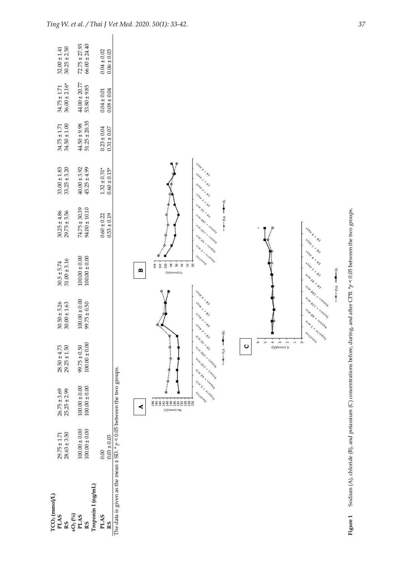| TCO <sub>2</sub> (mmol/L)                                                           |                                      |                                      |                                                                                                                                                                                                                                                                                                                                                                                                                           |                                                                          |                                                           |                                                                                    |                                           |                                      |                                       |                                                               |
|-------------------------------------------------------------------------------------|--------------------------------------|--------------------------------------|---------------------------------------------------------------------------------------------------------------------------------------------------------------------------------------------------------------------------------------------------------------------------------------------------------------------------------------------------------------------------------------------------------------------------|--------------------------------------------------------------------------|-----------------------------------------------------------|------------------------------------------------------------------------------------|-------------------------------------------|--------------------------------------|---------------------------------------|---------------------------------------------------------------|
| PLAS<br>RS                                                                          | $28.63 \pm 3.50$<br>$29.75 \pm 1.71$ | $26.75 \pm 3.69$<br>$25.25 \pm 2.99$ | $28.50 \pm 4.73$<br>$29.25 \pm 1.50$                                                                                                                                                                                                                                                                                                                                                                                      | $30.50 \pm 5.26$<br>$30.00 \pm 1.63$                                     | $30.5 \pm 5.74$<br>$31.00 \pm 3.16$                       | $30.25 \pm 4.86$<br>29.75 ± 5.56                                                   | $33.00 \pm 1.83$ $33.25 \pm 3.20$         | $34.50 \pm 1.00$<br>$34.75 \pm 1.71$ | $36.00 \pm 2.16*$<br>$34.75 \pm 1.71$ | $30.25 \pm 2.50$<br>$32.00 \pm 1.41$                          |
| $\begin{array}{c} \textbf{SO}_2 \, ( ^{0} \! / \!_0 ) \\ \textbf{PLAS} \end{array}$ |                                      |                                      |                                                                                                                                                                                                                                                                                                                                                                                                                           |                                                                          |                                                           |                                                                                    |                                           |                                      |                                       |                                                               |
|                                                                                     | $100.00 \pm 0.00$                    | $100.00\pm0.00$                      | $99.75 \pm 0.50$                                                                                                                                                                                                                                                                                                                                                                                                          | $100.00 \pm 0.00$                                                        | $100.00 \pm 0.00$                                         | $74.75 \pm 30.39$<br>94.00 $\pm$ 10.10                                             | $40.00 \pm 3.92$<br>$45.25 \pm 4.99$      | $44.50 \pm 9.98$                     | $44.00 \pm 20.77$                     | $72.75 \pm 27.93$                                             |
| Troponin I (ng/mL)<br>RS                                                            | $100.00 \pm 0.00$                    | $100.00 \pm 0.00$                    | $100.00 \pm 0.00$                                                                                                                                                                                                                                                                                                                                                                                                         | $99.75 \pm 0.50$                                                         | $100.00 \pm 0.00$                                         |                                                                                    |                                           | $51.25 \pm 20.35$                    | $53.80 \pm 9.85$                      | $66.00 \pm 24.40$                                             |
|                                                                                     |                                      |                                      |                                                                                                                                                                                                                                                                                                                                                                                                                           |                                                                          |                                                           |                                                                                    |                                           |                                      |                                       |                                                               |
| <b>PLAS</b><br>R <sub>S</sub>                                                       | $0.03\pm0.03$<br>$0.00\,$            |                                      |                                                                                                                                                                                                                                                                                                                                                                                                                           |                                                                          |                                                           | $0.60 \pm 0.22$<br>$0.53 \pm 0.19$                                                 | $1.32 \pm 0.31*$<br>$0.60 \pm 0.15*$      | $0.31 \pm 0.07$<br>$0.23 \pm 0.04$   | $0.08 \pm 0.04$<br>$0.04 \pm 0.01$    | $\begin{array}{c} 0.04 \pm 0.02 \\ 0.06 \pm 0.03 \end{array}$ |
| The data is given as the mean $\pm$ SD. * $p$ < 0.05 between the two groups.        |                                      |                                      |                                                                                                                                                                                                                                                                                                                                                                                                                           |                                                                          |                                                           |                                                                                    |                                           |                                      |                                       |                                                               |
|                                                                                     |                                      |                                      |                                                                                                                                                                                                                                                                                                                                                                                                                           |                                                                          |                                                           |                                                                                    |                                           |                                      |                                       |                                                               |
|                                                                                     |                                      |                                      |                                                                                                                                                                                                                                                                                                                                                                                                                           |                                                                          |                                                           |                                                                                    |                                           |                                      |                                       |                                                               |
|                                                                                     |                                      | 4                                    |                                                                                                                                                                                                                                                                                                                                                                                                                           |                                                                          | $\mathbf{m}$                                              |                                                                                    |                                           |                                      |                                       |                                                               |
|                                                                                     |                                      | <b>THARRANARYA</b><br>(1/joww) eN    |                                                                                                                                                                                                                                                                                                                                                                                                                           | $\ddot{\cdot}$<br>$\ddot{\cdot}$                                         | 3 2 3<br>Cl (mmol/L)                                      |                                                                                    |                                           |                                      |                                       |                                                               |
|                                                                                     |                                      |                                      |                                                                                                                                                                                                                                                                                                                                                                                                                           |                                                                          | <b>36 \$</b><br>92                                        |                                                                                    |                                           |                                      |                                       |                                                               |
|                                                                                     |                                      | Ulus s = Uleday<br>94/19569          | UIWOEX<br>UILLOST X SSEONS<br>UIWOCL * seedla<br>UILLOS X SECAR                                                                                                                                                                                                                                                                                                                                                           | SARD 6 X 83<br>step < x e y<br>step b x 03<br>SARD LY BY                 | UILLES & UILLEDEL<br>aultasea<br>ஜ                        | SARD LX BY<br>UIWOEXAN<br>Ullu OBI * secand<br>UILLOCK X SSECAR<br>UILLOS X SEEDIS | SARD EXEX<br>step < x e y<br>SARD B X B Y |                                      |                                       |                                                               |
|                                                                                     |                                      |                                      |                                                                                                                                                                                                                                                                                                                                                                                                                           |                                                                          |                                                           |                                                                                    |                                           |                                      |                                       |                                                               |
|                                                                                     |                                      |                                      | $-5$<br>Vld  o                                                                                                                                                                                                                                                                                                                                                                                                            |                                                                          |                                                           | $\sum_{k=1}^{\infty}$<br>$M$ d $\sim$                                              |                                           |                                      |                                       |                                                               |
|                                                                                     |                                      |                                      | $\mathbf C$                                                                                                                                                                                                                                                                                                                                                                                                               |                                                                          |                                                           |                                                                                    |                                           |                                      |                                       |                                                               |
|                                                                                     |                                      |                                      | 6<br>S                                                                                                                                                                                                                                                                                                                                                                                                                    |                                                                          |                                                           |                                                                                    |                                           |                                      |                                       |                                                               |
|                                                                                     |                                      |                                      | 4<br>$\overline{\phantom{a}}$<br>K (mmol/L)                                                                                                                                                                                                                                                                                                                                                                               |                                                                          | $\vdots$                                                  | $\ddot{\cdot}$                                                                     |                                           |                                      |                                       |                                                               |
|                                                                                     |                                      |                                      | $\sim$<br>$\overline{\phantom{0}}$                                                                                                                                                                                                                                                                                                                                                                                        |                                                                          |                                                           |                                                                                    |                                           |                                      |                                       |                                                               |
|                                                                                     |                                      |                                      | $\frac{1}{\sqrt{2}}\frac{1}{\sqrt{2}}\frac{1}{\sqrt{2}}\frac{1}{\sqrt{2}}\frac{1}{\sqrt{2}}\frac{1}{\sqrt{2}}\frac{1}{\sqrt{2}}\frac{1}{\sqrt{2}}\frac{1}{\sqrt{2}}\frac{1}{\sqrt{2}}\frac{1}{\sqrt{2}}\frac{1}{\sqrt{2}}\frac{1}{\sqrt{2}}\frac{1}{\sqrt{2}}\frac{1}{\sqrt{2}}\frac{1}{\sqrt{2}}\frac{1}{\sqrt{2}}\frac{1}{\sqrt{2}}\frac{1}{\sqrt{2}}\frac{1}{\sqrt{2}}\frac{1}{\sqrt{2}}\frac{1}{\sqrt{2}}$<br>$\circ$ | UIWOST & SECAR<br>UIWOCZ * sseala<br>UILLOS X SEEDIO<br>UILL S * UILEGOY | SARD L X BY<br>SARD B X B Y<br>SARD LY BY<br>UIW OF X 0 Y | SARD 6 X BY                                                                        |                                           |                                      |                                       |                                                               |
|                                                                                     |                                      |                                      |                                                                                                                                                                                                                                                                                                                                                                                                                           |                                                                          | $S = -14$                                                 |                                                                                    |                                           |                                      |                                       |                                                               |
|                                                                                     |                                      |                                      |                                                                                                                                                                                                                                                                                                                                                                                                                           |                                                                          |                                                           |                                                                                    |                                           |                                      |                                       |                                                               |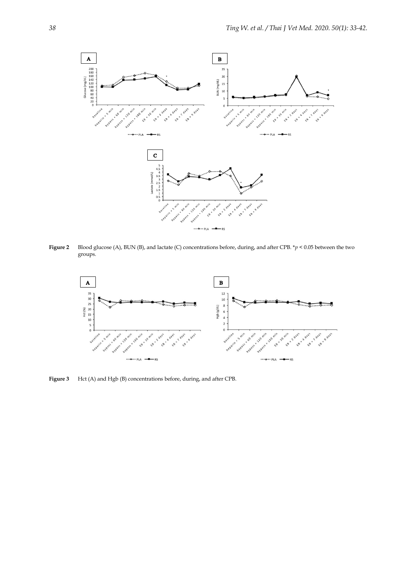

**Figure 2** Blood glucose (A), BUN (B), and lactate (C) concentrations before, during, and after CPB. \**p* < 0.05 between the two groups.



**Figure 3** Hct (A) and Hgb (B) concentrations before, during, and after CPB.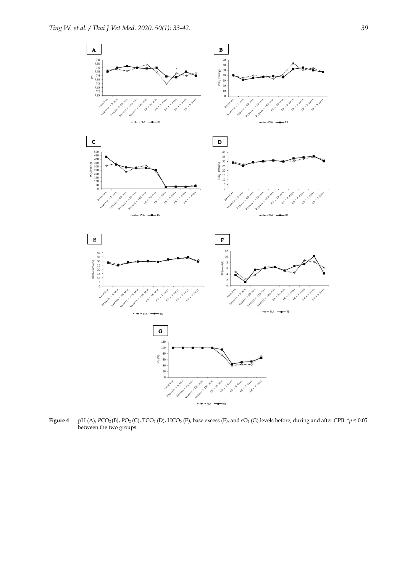

**Figure 4** pH (A),  $PCO_2(B)$ ,  $PO_2(C)$ ,  $TCO_2(D)$ ,  $HCO_3(E)$ , base excess (F), and  $SO_2(G)$  levels before, during and after CPB.  $*p < 0.05$ between the two groups.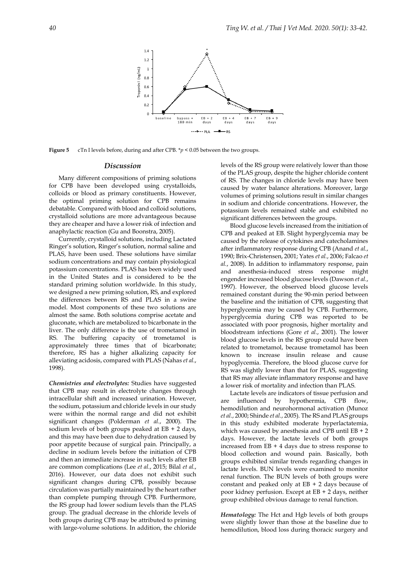

**Figure 5** cTn I levels before, during and after CPB. \**p* < 0.05 between the two groups.

#### *Discussion*

Many different compositions of priming solutions for CPB have been developed using crystalloids, colloids or blood as primary constituents. However, the optimal priming solution for CPB remains debatable. Compared with blood and colloid solutions, crystalloid solutions are more advantageous because they are cheaper and have a lower risk of infection and anaphylactic reaction (Gu and Boonstra, 2005).

Currently, crystalloid solutions, including Lactated Ringer's solution, Ringer's solution, normal saline and PLAS, have been used. These solutions have similar sodium concentrations and may contain physiological potassium concentrations. PLAS has been widely used in the United States and is considered to be the standard priming solution worldwide. In this study, we designed a new priming solution, RS, and explored the differences between RS and PLAS in a swine model. Most components of these two solutions are almost the same. Both solutions comprise acetate and gluconate, which are metabolized to bicarbonate in the liver. The only difference is the use of trometamol in RS. The buffering capacity of trometamol is approximately three times that of bicarbonate; therefore, RS has a higher alkalizing capacity for alleviating acidosis, compared with PLAS (Nahas *et al.*, 1998).

*Chemistries and electrolytes:* Studies have suggested that CPB may result in electrolyte changes through intracellular shift and increased urination. However, the sodium, potassium and chloride levels in our study were within the normal range and did not exhibit significant changes (Polderman *et al.*, 2000). The sodium levels of both groups peaked at  $EB + 2$  days, and this may have been due to dehydration caused by poor appetite because of surgical pain. Principally, a decline in sodium levels before the initiation of CPB and then an immediate increase in such levels after EB are common complications (Lee *et al.*, 2015; Bilal *et al.*, 2016). However, our data does not exhibit such significant changes during CPB, possibly because circulation was partially maintained by the heart rather than complete pumping through CPB. Furthermore, the RS group had lower sodium levels than the PLAS group. The gradual decrease in the chloride levels of both groups during CPB may be attributed to priming with large-volume solutions. In addition, the chloride

levels of the RS group were relatively lower than those of the PLAS group, despite the higher chloride content of RS. The changes in chloride levels may have been caused by water balance alterations. Moreover, large volumes of priming solutions result in similar changes in sodium and chloride concentrations. However, the potassium levels remained stable and exhibited no significant differences between the groups.

Blood glucose levels increased from the initiation of CPB and peaked at EB. Slight hyperglycemia may be caused by the release of cytokines and catecholamines after inflammatory response during CPB (Anand *et al.*, 1990; Brix-Christensen, 2001; Yates *et al.*, 2006; Falcao *et al.*, 2008). In addition to inflammatory response, pain and anesthesia-induced stress response might engender increased blood glucose levels (Dawson *et al.*, 1997). However, the observed blood glucose levels remained constant during the 90-min period between the baseline and the initiation of CPB, suggesting that hyperglycemia may be caused by CPB. Furthermore, hyperglycemia during CPB was reported to be associated with poor prognosis, higher mortality and bloodstream infections (Gore *et al.*, 2001). The lower blood glucose levels in the RS group could have been related to trometamol, because trometamol has been known to increase insulin release and cause hypoglycemia. Therefore, the blood glucose curve for RS was slightly lower than that for PLAS, suggesting that RS may alleviate inflammatory response and have a lower risk of mortality and infection than PLAS.

Lactate levels are indicators of tissue perfusion and are influenced by hypothermia, CPB flow, hemodilution and neurohormonal activation (Munoz *et al.*, 2000; Shinde *et al.*, 2005). The RS and PLAS groups in this study exhibited moderate hyperlactatemia, which was caused by anesthesia and CPB until EB + 2 days. However, the lactate levels of both groups increased from  $EB + 4$  days due to stress response to blood collection and wound pain. Basically, both groups exhibited similar trends regarding changes in lactate levels. BUN levels were examined to monitor renal function. The BUN levels of both groups were constant and peaked only at  $EB + 2$  days because of poor kidney perfusion. Except at EB + 2 days, neither group exhibited obvious damage to renal function.

*Hematology:* The Hct and Hgb levels of both groups were slightly lower than those at the baseline due to hemodilution, blood loss during thoracic surgery and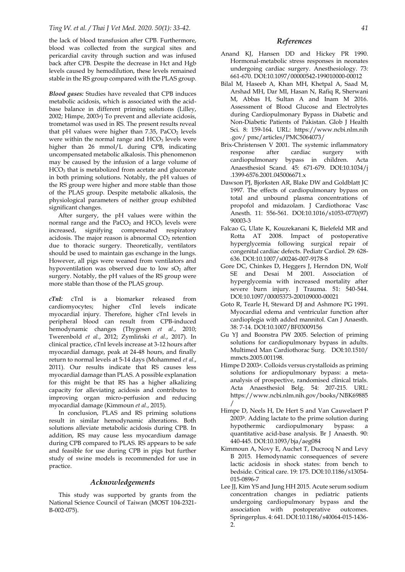the lack of blood transfusion after CPB. Furthermore, blood was collected from the surgical sites and pericardial cavity through suction and was infused back after CPB. Despite the decrease in Hct and Hgb levels caused by hemodilution, these levels remained stable in the RS group compared with the PLAS group.

*Blood gases:* Studies have revealed that CPB induces metabolic acidosis, which is associated with the acidbase balance in different priming solutions (Lilley, 2002; Himpe, 2003a) To prevent and alleviate acidosis, trometamol was used in RS. The present results reveal that pH values were higher than  $7.35$ ,  $PaCO<sub>2</sub>$  levels were within the normal range and  $HCO<sub>3</sub>$  levels were higher than 26 mmol/L during CPB, indicating uncompensated metabolic alkalosis. This phenomenon may be caused by the infusion of a large volume of  $HCO<sub>3</sub>$  that is metabolized from acetate and gluconate in both priming solutions. Notably, the pH values of the RS group were higher and more stable than those of the PLAS group. Despite metabolic alkalosis, the physiological parameters of neither group exhibited significant changes.

After surgery, the pH values were within the normal range and the  $PaCO<sub>2</sub>$  and  $HCO<sub>3</sub>$  levels were increased, signifying compensated respiratory acidosis. The major reason is abnormal  $CO<sub>2</sub>$  retention due to thoracic surgery. Theoretically, ventilators should be used to maintain gas exchange in the lungs. However, all pigs were weaned from ventilators and hypoventilation was observed due to low  $SO<sub>2</sub>$  after surgery. Notably, the pH values of the RS group were more stable than those of the PLAS group.

*cTnI:* cTnI is a biomarker released from cardiomyocytes; higher cTnI levels indicate myocardial injury. Therefore, higher cTnI levels in peripheral blood can result from CPB-induced hemodynamic changes (Thygesen *et al.*, 2010; Twerenbold *et al.*, 2012; Zymliński *et al.*, 2017). In clinical practice, cTnI levels increase at 3-12 hours after myocardial damage, peak at 24-48 hours, and finally return to normal levels at 5-14 days (Mohammed *et al.*, 2011). Our results indicate that RS causes less myocardial damage than PLAS. A possible explanation for this might be that RS has a higher alkalizing capacity for alleviating acidosis and contributes to improving organ micro-perfusion and reducing myocardial damage (Kimmoun *et al.*, 2015).

In conclusion, PLAS and RS priming solutions result in similar hemodynamic alterations. Both solutions alleviate metabolic acidosis during CPB. In addition, RS may cause less myocardium damage during CPB compared to PLAS. RS appears to be safe and feasible for use during CPB in pigs but further study of swine models is recommended for use in practice.

### *Acknowledgements*

This study was supported by grants from the National Science Council of Taiwan (MOST 104-2321- B-002-075).

## *References*

- Anand KJ, Hansen DD and Hickey PR 1990. Hormonal-metabolic stress responses in neonates undergoing cardiac surgery. Anesthesiology. 73: 661-670. DOI:10.1097/00000542-199010000-00012
- Bilal M, Haseeb A, Khan MH, Khetpal A, Saad M, Arshad MH, Dar MI, Hasan N, Rafiq R, Sherwani M, Abbas H, Sultan A and Inam M 2016. Assessment of Blood Glucose and Electrolytes during Cardiopulmonary Bypass in Diabetic and Non-Diabetic Patients of Pakistan. Glob J Health Sci. 8: 159-164. URL: https://www.ncbi.nlm.nih .gov/ pmc/articles/PMC5064073/
- Brix-Christensen V 2001. The systemic inflammatory response after cardiac surgery with cardiopulmonary bypass in children. Acta Anaesthesiol Scand. 45: 671-679. DOI:10.1034/j .1399-6576.2001.045006671.x
- Dawson PJ, Bjorksten AR, Blake DW and Goldblatt JC 1997. The effects of cardiopulmonary bypass on total and unbound plasma concentrations of propofol and midazolam. J Cardiothorac Vasc Anesth. 11: 556-561. DOI:10.1016/s1053-0770(97) 90003-3
- Falcao G, Ulate K, Kouzekanani K, Bielefeld MR and Rotta AT 2008. Impact of postoperative hyperglycemia following surgical repair of congenital cardiac defects. Pediatr Cardiol. 29: 628- 636. DOI:10.1007/s00246-007-9178-8
- Gore DC, Chinkes D, Heggers J, Herndon DN, Wolf SE and Desai M 2001. Association of hyperglycemia with increased mortality after severe burn injury. J Trauma. 51: 540-544. DOI:10.1097/00005373-200109000-00021
- Goto R, Tearle H, Steward DJ and Ashmore PG 1991. Myocardial edema and ventricular function after cardioplegia with added mannitol. Can J Anaesth. 38: 7-14. DOI:10.1007/BF03009156
- Gu YJ and Boonstra PW 2005. Selection of priming solutions for cardiopulmonary bypass in adults. Multimed Man Cardiothorac Surg. DOI:10.1510/ mmcts.2005.001198.
- Himpe D 2003a. Colloids versus crystalloids as priming solutions for ardiopulmonary bypass: a metaanalysis of prospective, randomised clinical trials. Acta Anaesthesiol Belg. 54: 207-215. URL: https://www.ncbi.nlm.nih.gov/books/NBK69885 /
- Himpe D, Neels H, De Hert S and Van Cauwelaert P 2003b. Adding lactate to the prime solution during hypothermic cardiopulmonary bypass: a quantitative acid-base analysis. Br J Anaesth. 90: 440-445. DOI:10.1093/bja/aeg084
- Kimmoun A, Novy E, Auchet T, Ducrocq N and Levy B 2015. Hemodynamic consequences of severe lactic acidosis in shock states: from bench to bedside. Critical care. 19: 175. DOI:10.1186/s13054- 015-0896-7
- Lee JJ, Kim YS and Jung HH 2015. Acute serum sodium concentration changes in pediatric patients undergoing cardiopulmonary bypass and the association with postoperative outcomes. Springerplus. 4: 641. DOI:10.1186/s40064-015-1436- 2.